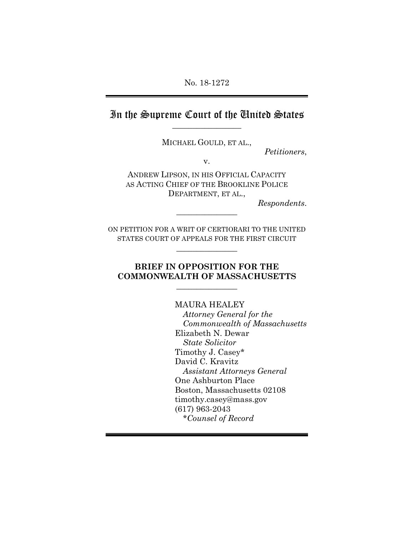## In the Supreme Court of the United States  $\overline{\phantom{a}}$  , where  $\overline{\phantom{a}}$

MICHAEL GOULD, ET AL.,

*Petitioners*,

v.

ANDREW LIPSON, IN HIS OFFICIAL CAPACITY AS ACTING CHIEF OF THE BROOKLINE POLICE DEPARTMENT, ET AL.,

 $\frac{1}{2}$ 

*Respondents*.

ON PETITION FOR A WRIT OF CERTIORARI TO THE UNITED STATES COURT OF APPEALS FOR THE FIRST CIRCUIT

 $\frac{1}{2}$ 

### **BRIEF IN OPPOSITION FOR THE COMMONWEALTH OF MASSACHUSETTS**

 $\frac{1}{2}$ 

 MAURA HEALEY *Attorney General for the Commonwealth of Massachusetts*  Elizabeth N. Dewar *State Solicitor*  Timothy J. Casey\* David C. Kravitz *Assistant Attorneys General* One Ashburton Place Boston, Massachusetts 02108 timothy.casey@mass.gov (617) 963-2043 *\*Counsel of Record*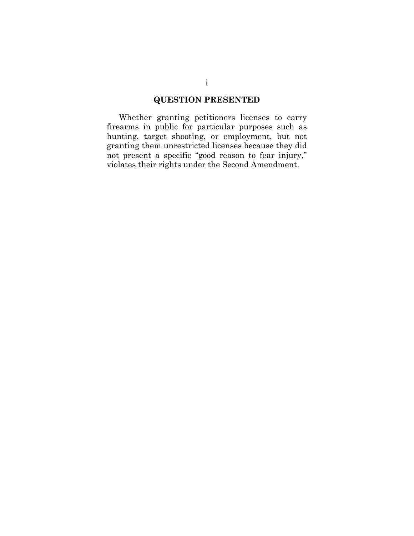### **QUESTION PRESENTED**

Whether granting petitioners licenses to carry firearms in public for particular purposes such as hunting, target shooting, or employment, but not granting them unrestricted licenses because they did not present a specific "good reason to fear injury," violates their rights under the Second Amendment.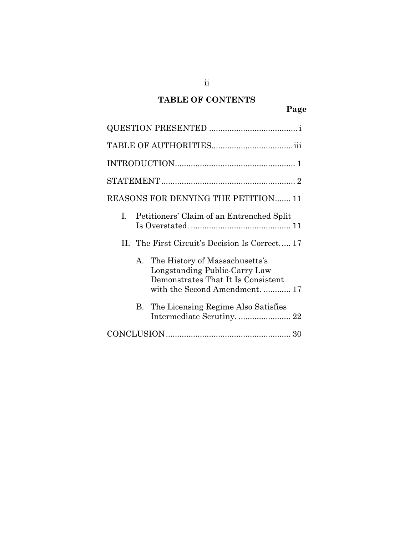# **TABLE OF CONTENTS**

| REASONS FOR DENYING THE PETITION 11                                                                                                                |
|----------------------------------------------------------------------------------------------------------------------------------------------------|
| I. Petitioners' Claim of an Entrenched Split                                                                                                       |
| II. The First Circuit's Decision Is Correct 17                                                                                                     |
| The History of Massachusetts's<br>$A_{-}$<br>Longstanding Public-Carry Law<br>Demonstrates That It Is Consistent<br>with the Second Amendment.  17 |
| The Licensing Regime Also Satisfies<br>В.<br>Intermediate Scrutiny.  22                                                                            |
|                                                                                                                                                    |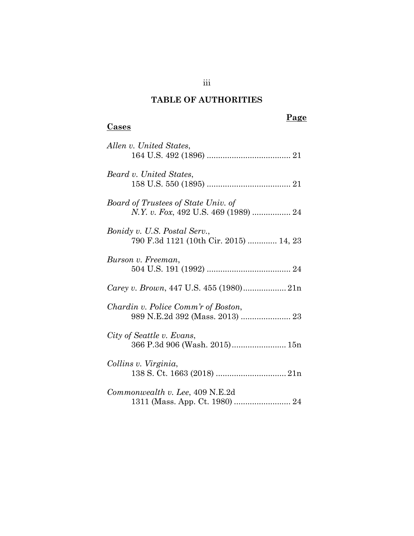# **TABLE OF AUTHORITIES**

# **Page**

## **Cases**

| Allen v. United States,                                                |
|------------------------------------------------------------------------|
| Beard v. United States,                                                |
| Board of Trustees of State Univ. of                                    |
| Bonidy v. U.S. Postal Serv.,<br>790 F.3d 1121 (10th Cir. 2015)  14, 23 |
| Burson v. Freeman,                                                     |
|                                                                        |
| Chardin v. Police Comm'r of Boston,                                    |
| City of Seattle v. Evans,                                              |
| Collins v. Virginia,                                                   |
| Commonwealth v. Lee, 409 N.E.2d                                        |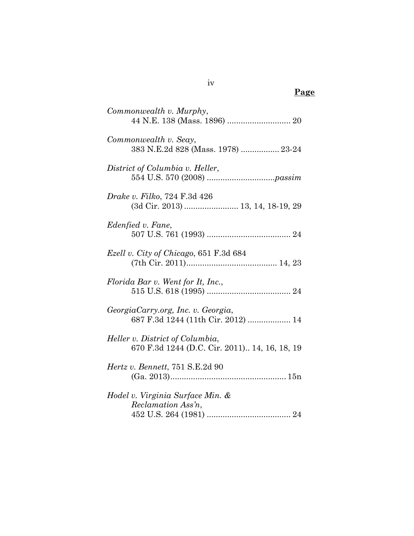| Commonwealth v. Murphy,                                                          |
|----------------------------------------------------------------------------------|
| Commonwealth v. Seay,<br>383 N.E.2d 828 (Mass. 1978)  23-24                      |
| District of Columbia v. Heller,                                                  |
| <i>Drake v. Filko, 724 F.3d 426</i><br>(3d Cir. 2013)  13, 14, 18-19, 29         |
| Edenfied v. Fane,                                                                |
| <i>Ezell v. City of Chicago, 651 F.3d 684</i>                                    |
| Florida Bar v. Went for It, Inc.,                                                |
| GeorgiaCarry.org, Inc. v. Georgia,<br>687 F.3d 1244 (11th Cir. 2012)  14         |
| Heller v. District of Columbia,<br>670 F.3d 1244 (D.C. Cir. 2011) 14, 16, 18, 19 |
| Hertz v. Bennett, 751 S.E.2d 90                                                  |
| Hodel v. Virginia Surface Min. &<br>Reclamation Ass'n,                           |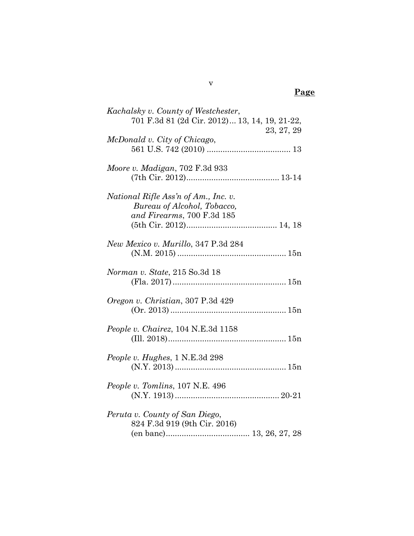| Kachalsky v. County of Westchester,                                                               |
|---------------------------------------------------------------------------------------------------|
| 701 F.3d 81 (2d Cir. 2012) 13, 14, 19, 21-22,<br>23, 27, 29                                       |
| McDonald v. City of Chicago,                                                                      |
| Moore v. Madigan, 702 F.3d 933                                                                    |
| National Rifle Ass'n of Am., Inc. v.<br>Bureau of Alcohol, Tobacco,<br>and Firearms, 700 F.3d 185 |
| New Mexico v. Murillo, 347 P.3d 284                                                               |
| Norman v. State, 215 So.3d 18                                                                     |
| Oregon v. Christian, 307 P.3d 429                                                                 |
| People v. Chairez, 104 N.E.3d 1158                                                                |
| People v. Hughes, 1 N.E.3d 298                                                                    |
| People v. Tomlins, 107 N.E. 496                                                                   |
| Peruta v. County of San Diego,<br>824 F.3d 919 (9th Cir. 2016)                                    |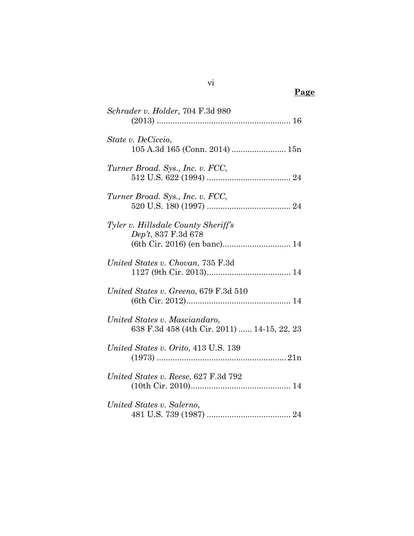| Schrader v. Holder, 704 F.3d 980                                             |
|------------------------------------------------------------------------------|
| State v. DeCiccio,<br>105 A.3d 165 (Conn. 2014)  15n                         |
| Turner Broad. Sys., Inc. v. FCC,                                             |
| Turner Broad. Sys., Inc. v. FCC,                                             |
| Tyler v. Hillsdale County Sheriff's<br>Dep't, 837 F.3d 678                   |
| United States v. Chovan, 735 F.3d                                            |
| United States v. Greeno, 679 F.3d 510                                        |
| United States v. Masciandaro,<br>638 F.3d 458 (4th Cir. 2011)  14-15, 22, 23 |
| United States v. Orito, 413 U.S. 139                                         |
| United States v. Reese, 627 F.3d 792                                         |
| United States v. Salerno,                                                    |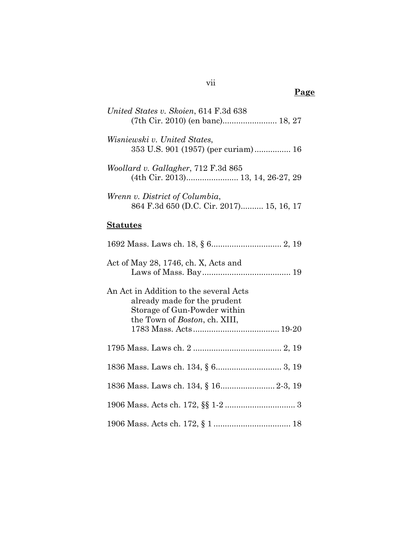| United States v. Skoien, 614 F.3d 638<br>(7th Cir. 2010) (en banc) 18, 27                                                                       |  |
|-------------------------------------------------------------------------------------------------------------------------------------------------|--|
| Wisniewski v. United States,<br>353 U.S. 901 (1957) (per curiam) 16                                                                             |  |
| Woollard v. Gallagher, 712 F.3d 865                                                                                                             |  |
| Wrenn v. District of Columbia,<br>864 F.3d 650 (D.C. Cir. 2017) 15, 16, 17                                                                      |  |
| <u>Statutes</u>                                                                                                                                 |  |
|                                                                                                                                                 |  |
| Act of May 28, 1746, ch. X, Acts and                                                                                                            |  |
| An Act in Addition to the several Acts<br>already made for the prudent<br>Storage of Gun-Powder within<br>the Town of <i>Boston</i> , ch. XIII, |  |
|                                                                                                                                                 |  |
|                                                                                                                                                 |  |
|                                                                                                                                                 |  |
| 1836 Mass. Laws ch. 134, § 16 2-3, 19                                                                                                           |  |
|                                                                                                                                                 |  |
|                                                                                                                                                 |  |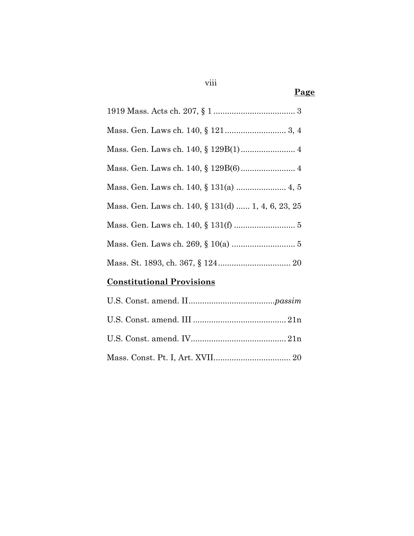| Mass. Gen. Laws ch. 140, § 131(d)  1, 4, 6, 23, 25 |
|----------------------------------------------------|
|                                                    |
|                                                    |
|                                                    |

# **Constitutional Provisions**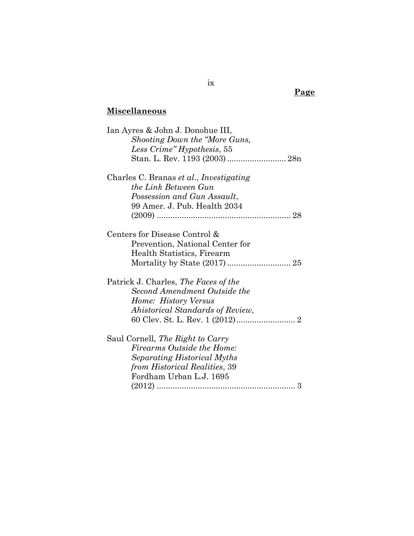# **Miscellaneous**

| Ian Ayres & John J. Donohue III,        |
|-----------------------------------------|
| Shooting Down the "More Guns,           |
| Less Crime" Hypothesis, 55              |
|                                         |
| Charles C. Branas et al., Investigating |
| the Link Between Gun                    |
| Possession and Gun Assault,             |
| 99 Amer. J. Pub. Health 2034            |
|                                         |
| Centers for Disease Control &           |
| Prevention, National Center for         |
| Health Statistics, Firearm              |
|                                         |
| Patrick J. Charles, The Faces of the    |
| Second Amendment Outside the            |
| Home: History Versus                    |
| Ahistorical Standards of Review,        |
|                                         |
| Saul Cornell, The Right to Carry        |
| Firearms Outside the Home:              |
| Separating Historical Myths             |
| from Historical Realities, 39           |
| Fordham Urban L.J. 1695                 |
| 3                                       |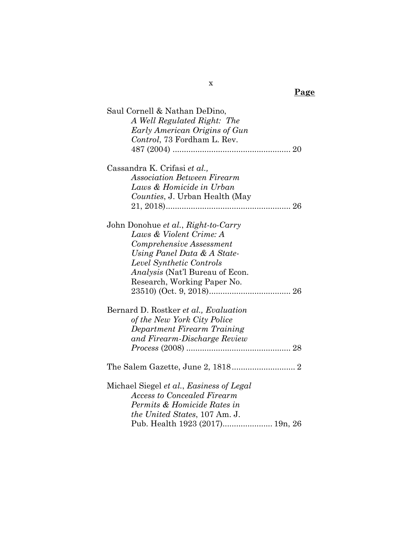| A Well Regulated Right: The<br>Early American Origins of Gun<br><i>Control</i> , 73 Fordham L. Rev.<br>Cassandra K. Crifasi et al.,<br><b>Association Between Firearm</b><br>Laws & Homicide in Urban<br>Counties, J. Urban Health (May<br>John Donohue et al., Right-to-Carry<br>Laws & Violent Crime: A<br>Comprehensive Assessment<br>Using Panel Data & A State-<br>Level Synthetic Controls<br><i>Analysis</i> (Nat'l Bureau of Econ.<br>Research, Working Paper No.<br>Bernard D. Rostker et al., Evaluation<br>of the New York City Police<br>Department Firearm Training<br>and Firearm-Discharge Review<br>Michael Siegel et al., Easiness of Legal | Saul Cornell & Nathan DeDino, |
|--------------------------------------------------------------------------------------------------------------------------------------------------------------------------------------------------------------------------------------------------------------------------------------------------------------------------------------------------------------------------------------------------------------------------------------------------------------------------------------------------------------------------------------------------------------------------------------------------------------------------------------------------------------|-------------------------------|
|                                                                                                                                                                                                                                                                                                                                                                                                                                                                                                                                                                                                                                                              |                               |
|                                                                                                                                                                                                                                                                                                                                                                                                                                                                                                                                                                                                                                                              |                               |
|                                                                                                                                                                                                                                                                                                                                                                                                                                                                                                                                                                                                                                                              |                               |
|                                                                                                                                                                                                                                                                                                                                                                                                                                                                                                                                                                                                                                                              |                               |
|                                                                                                                                                                                                                                                                                                                                                                                                                                                                                                                                                                                                                                                              |                               |
|                                                                                                                                                                                                                                                                                                                                                                                                                                                                                                                                                                                                                                                              |                               |
|                                                                                                                                                                                                                                                                                                                                                                                                                                                                                                                                                                                                                                                              |                               |
|                                                                                                                                                                                                                                                                                                                                                                                                                                                                                                                                                                                                                                                              |                               |
|                                                                                                                                                                                                                                                                                                                                                                                                                                                                                                                                                                                                                                                              |                               |
|                                                                                                                                                                                                                                                                                                                                                                                                                                                                                                                                                                                                                                                              |                               |
|                                                                                                                                                                                                                                                                                                                                                                                                                                                                                                                                                                                                                                                              |                               |
|                                                                                                                                                                                                                                                                                                                                                                                                                                                                                                                                                                                                                                                              |                               |
|                                                                                                                                                                                                                                                                                                                                                                                                                                                                                                                                                                                                                                                              |                               |
|                                                                                                                                                                                                                                                                                                                                                                                                                                                                                                                                                                                                                                                              |                               |
|                                                                                                                                                                                                                                                                                                                                                                                                                                                                                                                                                                                                                                                              |                               |
|                                                                                                                                                                                                                                                                                                                                                                                                                                                                                                                                                                                                                                                              |                               |
|                                                                                                                                                                                                                                                                                                                                                                                                                                                                                                                                                                                                                                                              |                               |
|                                                                                                                                                                                                                                                                                                                                                                                                                                                                                                                                                                                                                                                              |                               |
|                                                                                                                                                                                                                                                                                                                                                                                                                                                                                                                                                                                                                                                              |                               |
|                                                                                                                                                                                                                                                                                                                                                                                                                                                                                                                                                                                                                                                              |                               |
|                                                                                                                                                                                                                                                                                                                                                                                                                                                                                                                                                                                                                                                              |                               |
|                                                                                                                                                                                                                                                                                                                                                                                                                                                                                                                                                                                                                                                              |                               |
|                                                                                                                                                                                                                                                                                                                                                                                                                                                                                                                                                                                                                                                              |                               |
|                                                                                                                                                                                                                                                                                                                                                                                                                                                                                                                                                                                                                                                              |                               |
|                                                                                                                                                                                                                                                                                                                                                                                                                                                                                                                                                                                                                                                              |                               |
|                                                                                                                                                                                                                                                                                                                                                                                                                                                                                                                                                                                                                                                              |                               |
|                                                                                                                                                                                                                                                                                                                                                                                                                                                                                                                                                                                                                                                              |                               |
|                                                                                                                                                                                                                                                                                                                                                                                                                                                                                                                                                                                                                                                              |                               |
| <b>Access to Concealed Firearm</b>                                                                                                                                                                                                                                                                                                                                                                                                                                                                                                                                                                                                                           |                               |
| Permits & Homicide Rates in                                                                                                                                                                                                                                                                                                                                                                                                                                                                                                                                                                                                                                  |                               |
| the United States, 107 Am. J.                                                                                                                                                                                                                                                                                                                                                                                                                                                                                                                                                                                                                                |                               |
| Pub. Health 1923 (2017) 19n, 26                                                                                                                                                                                                                                                                                                                                                                                                                                                                                                                                                                                                                              |                               |

x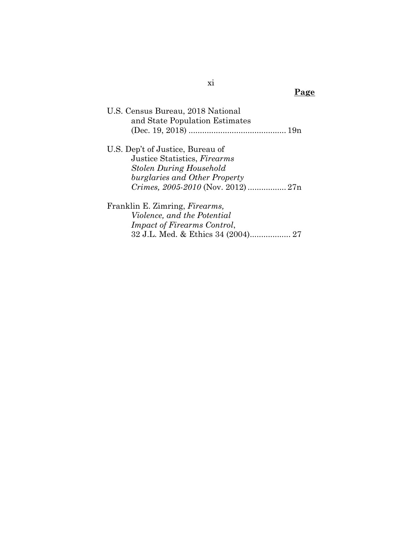| U.S. Census Bureau, 2018 National<br>and State Population Estimates |
|---------------------------------------------------------------------|
|                                                                     |
| U.S. Dep't of Justice, Bureau of                                    |
| Justice Statistics, Firearms                                        |
| <b>Stolen During Household</b>                                      |
| burglaries and Other Property                                       |
|                                                                     |
| Franklin E. Zimring, <i>Firearms</i> ,                              |
| <i>Violence, and the Potential</i>                                  |
| <i>Impact of Firearms Control,</i>                                  |
|                                                                     |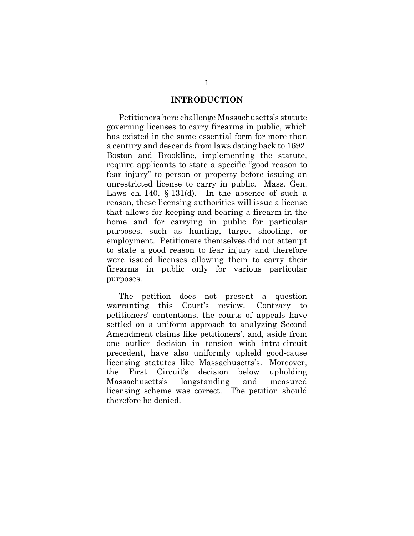#### **INTRODUCTION**

Petitioners here challenge Massachusetts's statute governing licenses to carry firearms in public, which has existed in the same essential form for more than a century and descends from laws dating back to 1692. Boston and Brookline, implementing the statute, require applicants to state a specific "good reason to fear injury" to person or property before issuing an unrestricted license to carry in public. Mass. Gen. Laws ch. 140,  $\S$  131(d). In the absence of such a reason, these licensing authorities will issue a license that allows for keeping and bearing a firearm in the home and for carrying in public for particular purposes, such as hunting, target shooting, or employment. Petitioners themselves did not attempt to state a good reason to fear injury and therefore were issued licenses allowing them to carry their firearms in public only for various particular purposes.

The petition does not present a question warranting this Court's review. Contrary to petitioners' contentions, the courts of appeals have settled on a uniform approach to analyzing Second Amendment claims like petitioners', and, aside from one outlier decision in tension with intra-circuit precedent, have also uniformly upheld good-cause licensing statutes like Massachusetts's. Moreover, the First Circuit's decision below upholding Massachusetts's longstanding and measured licensing scheme was correct. The petition should therefore be denied.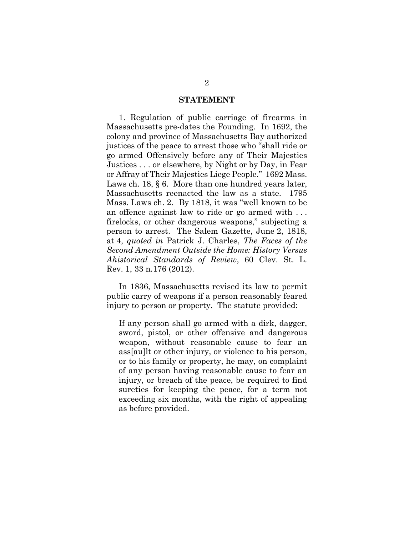#### **STATEMENT**

1. Regulation of public carriage of firearms in Massachusetts pre-dates the Founding. In 1692, the colony and province of Massachusetts Bay authorized justices of the peace to arrest those who "shall ride or go armed Offensively before any of Their Majesties Justices . . . or elsewhere, by Night or by Day, in Fear or Affray of Their Majesties Liege People." 1692 Mass. Laws ch. 18, § 6. More than one hundred years later, Massachusetts reenacted the law as a state. 1795 Mass. Laws ch. 2. By 1818, it was "well known to be an offence against law to ride or go armed with . . . firelocks, or other dangerous weapons," subjecting a person to arrest. The Salem Gazette, June 2, 1818, at 4, *quoted in* Patrick J. Charles, *The Faces of the Second Amendment Outside the Home: History Versus Ahistorical Standards of Review*, 60 Clev. St. L. Rev. 1, 33 n.176 (2012).

In 1836, Massachusetts revised its law to permit public carry of weapons if a person reasonably feared injury to person or property. The statute provided:

If any person shall go armed with a dirk, dagger, sword, pistol, or other offensive and dangerous weapon, without reasonable cause to fear an ass[au]lt or other injury, or violence to his person, or to his family or property, he may, on complaint of any person having reasonable cause to fear an injury, or breach of the peace, be required to find sureties for keeping the peace, for a term not exceeding six months, with the right of appealing as before provided.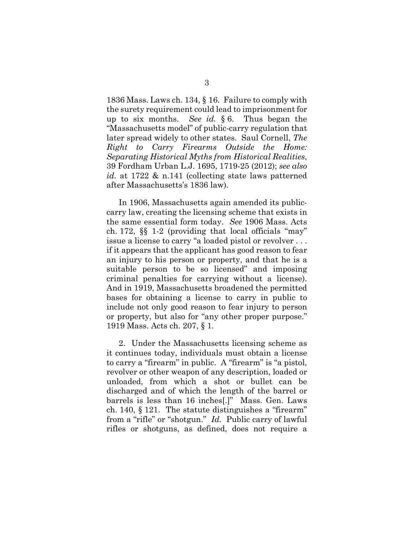1836 Mass. Laws ch. 134, § 16. Failure to comply with the surety requirement could lead to imprisonment for up to six months. *See id.* § 6. Thus began the "Massachusetts model" of public-carry regulation that later spread widely to other states. Saul Cornell, *The Right to Carry Firearms Outside the Home: Separating Historical Myths from Historical Realities*, 39 Fordham Urban L.J. 1695, 1719-25 (2012); *see also id.* at 1722 & n.141 (collecting state laws patterned after Massachusetts's 1836 law).

In 1906, Massachusetts again amended its publiccarry law, creating the licensing scheme that exists in the same essential form today. *See* 1906 Mass. Acts ch. 172, §§ 1-2 (providing that local officials "may" issue a license to carry "a loaded pistol or revolver . . . if it appears that the applicant has good reason to fear an injury to his person or property, and that he is a suitable person to be so licensed" and imposing criminal penalties for carrying without a license). And in 1919, Massachusetts broadened the permitted bases for obtaining a license to carry in public to include not only good reason to fear injury to person or property, but also for "any other proper purpose." 1919 Mass. Acts ch. 207, § 1.

2. Under the Massachusetts licensing scheme as it continues today, individuals must obtain a license to carry a "firearm" in public. A "firearm" is "a pistol, revolver or other weapon of any description, loaded or unloaded, from which a shot or bullet can be discharged and of which the length of the barrel or barrels is less than 16 inches[.]" Mass. Gen. Laws ch. 140, § 121. The statute distinguishes a "firearm" from a "rifle" or "shotgun." *Id.* Public carry of lawful rifles or shotguns, as defined, does not require a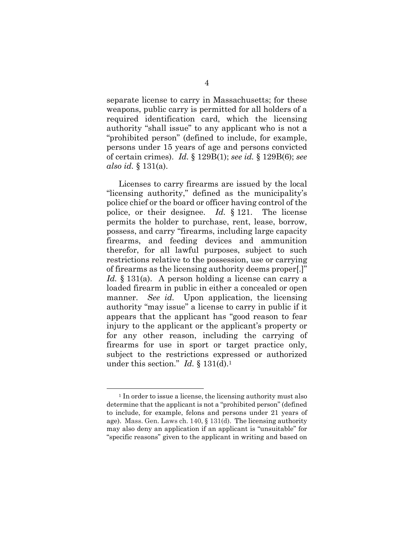separate license to carry in Massachusetts; for these weapons, public carry is permitted for all holders of a required identification card, which the licensing authority "shall issue" to any applicant who is not a "prohibited person" (defined to include, for example, persons under 15 years of age and persons convicted of certain crimes). *Id.* § 129B(1); *see id.* § 129B(6); *see also id.* § 131(a).

Licenses to carry firearms are issued by the local "licensing authority," defined as the municipality's police chief or the board or officer having control of the police, or their designee. *Id.* § 121. The license permits the holder to purchase, rent, lease, borrow, possess, and carry "firearms, including large capacity firearms, and feeding devices and ammunition therefor, for all lawful purposes, subject to such restrictions relative to the possession, use or carrying of firearms as the licensing authority deems proper[.]" *Id.* § 131(a). A person holding a license can carry a loaded firearm in public in either a concealed or open manner. *See id.* Upon application, the licensing authority "may issue" a license to carry in public if it appears that the applicant has "good reason to fear injury to the applicant or the applicant's property or for any other reason, including the carrying of firearms for use in sport or target practice only, subject to the restrictions expressed or authorized under this section." *Id.* § 131(d).1

<sup>&</sup>lt;sup>1</sup> In order to issue a license, the licensing authority must also determine that the applicant is not a "prohibited person" (defined to include, for example, felons and persons under 21 years of age). Mass. Gen. Laws ch. 140, § 131(d). The licensing authority may also deny an application if an applicant is "unsuitable" for "specific reasons" given to the applicant in writing and based on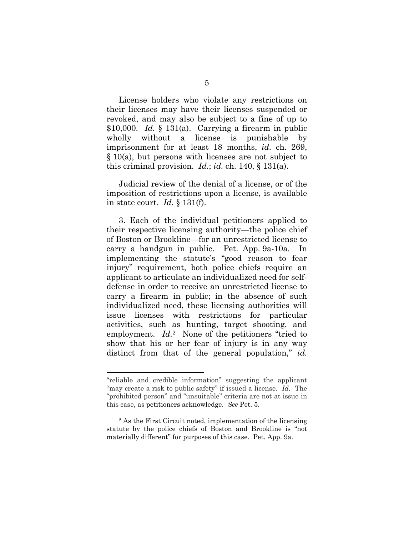License holders who violate any restrictions on their licenses may have their licenses suspended or revoked, and may also be subject to a fine of up to \$10,000. *Id.* § 131(a). Carrying a firearm in public wholly without a license is punishable by imprisonment for at least 18 months, *id.* ch. 269, § 10(a), but persons with licenses are not subject to this criminal provision. *Id.*; *id.* ch. 140, § 131(a).

Judicial review of the denial of a license, or of the imposition of restrictions upon a license, is available in state court. *Id.* § 131(f).

3. Each of the individual petitioners applied to their respective licensing authority—the police chief of Boston or Brookline—for an unrestricted license to carry a handgun in public. Pet. App. 9a-10a. In implementing the statute's "good reason to fear injury" requirement, both police chiefs require an applicant to articulate an individualized need for selfdefense in order to receive an unrestricted license to carry a firearm in public; in the absence of such individualized need, these licensing authorities will issue licenses with restrictions for particular activities, such as hunting, target shooting, and employment. *Id.*<sup>2</sup> None of the petitioners "tried to show that his or her fear of injury is in any way distinct from that of the general population," *id.*

l

<sup>&</sup>quot;reliable and credible information" suggesting the applicant "may create a risk to public safety" if issued a license. *Id.* The "prohibited person" and "unsuitable" criteria are not at issue in this case, as petitioners acknowledge. *See* Pet. 5.

<sup>2</sup> As the First Circuit noted, implementation of the licensing statute by the police chiefs of Boston and Brookline is "not materially different" for purposes of this case. Pet. App. 9a.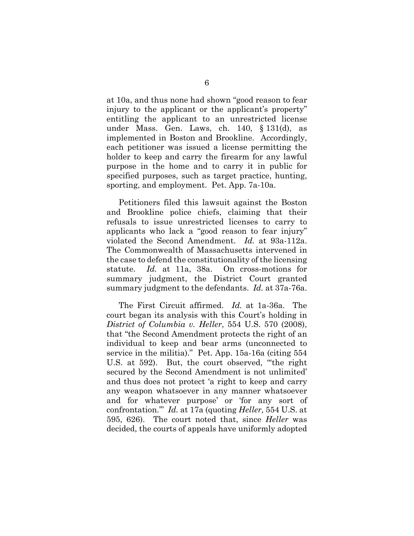at 10a, and thus none had shown "good reason to fear injury to the applicant or the applicant's property" entitling the applicant to an unrestricted license under Mass. Gen. Laws, ch. 140, § 131(d), as implemented in Boston and Brookline. Accordingly, each petitioner was issued a license permitting the holder to keep and carry the firearm for any lawful purpose in the home and to carry it in public for specified purposes, such as target practice, hunting, sporting, and employment. Pet. App. 7a-10a.

Petitioners filed this lawsuit against the Boston and Brookline police chiefs, claiming that their refusals to issue unrestricted licenses to carry to applicants who lack a "good reason to fear injury" violated the Second Amendment. *Id.* at 93a-112a. The Commonwealth of Massachusetts intervened in the case to defend the constitutionality of the licensing statute. *Id.* at 11a, 38a. On cross-motions for summary judgment, the District Court granted summary judgment to the defendants. *Id.* at 37a-76a.

The First Circuit affirmed. *Id.* at 1a-36a. The court began its analysis with this Court's holding in *District of Columbia v. Heller*, 554 U.S. 570 (2008), that "the Second Amendment protects the right of an individual to keep and bear arms (unconnected to service in the militia)." Pet. App. 15a-16a (citing 554 U.S. at 592). But, the court observed, "'the right secured by the Second Amendment is not unlimited' and thus does not protect 'a right to keep and carry any weapon whatsoever in any manner whatsoever and for whatever purpose' or 'for any sort of confrontation.'" *Id.* at 17a (quoting *Heller*, 554 U.S. at 595, 626). The court noted that, since *Heller* was decided, the courts of appeals have uniformly adopted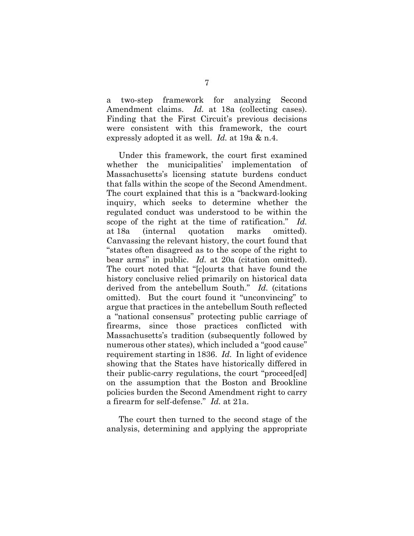a two-step framework for analyzing Second Amendment claims. *Id.* at 18a (collecting cases). Finding that the First Circuit's previous decisions were consistent with this framework, the court expressly adopted it as well. *Id.* at 19a & n.4.

Under this framework, the court first examined whether the municipalities' implementation of Massachusetts's licensing statute burdens conduct that falls within the scope of the Second Amendment. The court explained that this is a "backward-looking inquiry, which seeks to determine whether the regulated conduct was understood to be within the scope of the right at the time of ratification." *Id.* at 18a (internal quotation marks omitted). Canvassing the relevant history, the court found that "states often disagreed as to the scope of the right to bear arms" in public. *Id.* at 20a (citation omitted). The court noted that "[c]ourts that have found the history conclusive relied primarily on historical data derived from the antebellum South." *Id.* (citations omitted). But the court found it "unconvincing" to argue that practices in the antebellum South reflected a "national consensus" protecting public carriage of firearms, since those practices conflicted with Massachusetts's tradition (subsequently followed by numerous other states), which included a "good cause" requirement starting in 1836. *Id.* In light of evidence showing that the States have historically differed in their public-carry regulations, the court "proceed[ed] on the assumption that the Boston and Brookline policies burden the Second Amendment right to carry a firearm for self-defense." *Id.* at 21a.

The court then turned to the second stage of the analysis, determining and applying the appropriate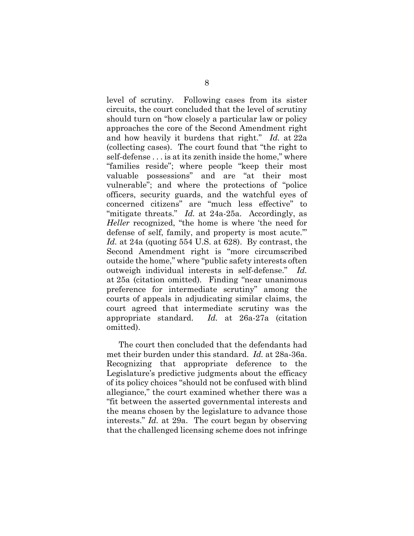level of scrutiny. Following cases from its sister circuits, the court concluded that the level of scrutiny should turn on "how closely a particular law or policy approaches the core of the Second Amendment right and how heavily it burdens that right." *Id.* at 22a (collecting cases). The court found that "the right to self-defense . . . is at its zenith inside the home," where "families reside"; where people "keep their most valuable possessions" and are "at their most vulnerable"; and where the protections of "police officers, security guards, and the watchful eyes of concerned citizens" are "much less effective" to "mitigate threats." *Id.* at 24a-25a. Accordingly, as *Heller* recognized, "the home is where 'the need for defense of self, family, and property is most acute.'" *Id.* at 24a (quoting 554 U.S. at 628). By contrast, the Second Amendment right is "more circumscribed outside the home," where "public safety interests often outweigh individual interests in self-defense." *Id.* at 25a (citation omitted). Finding "near unanimous preference for intermediate scrutiny" among the courts of appeals in adjudicating similar claims, the court agreed that intermediate scrutiny was the appropriate standard. *Id.* at 26a-27a (citation omitted).

The court then concluded that the defendants had met their burden under this standard. *Id.* at 28a-36a. Recognizing that appropriate deference to the Legislature's predictive judgments about the efficacy of its policy choices "should not be confused with blind allegiance," the court examined whether there was a "fit between the asserted governmental interests and the means chosen by the legislature to advance those interests." *Id.* at 29a. The court began by observing that the challenged licensing scheme does not infringe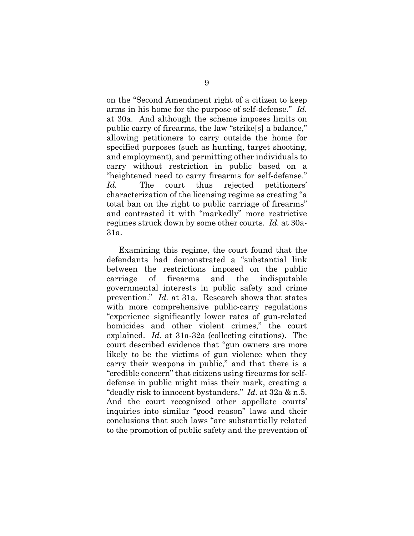on the "Second Amendment right of a citizen to keep arms in his home for the purpose of self-defense." *Id.* at 30a. And although the scheme imposes limits on public carry of firearms, the law "strike[s] a balance," allowing petitioners to carry outside the home for specified purposes (such as hunting, target shooting, and employment), and permitting other individuals to carry without restriction in public based on a "heightened need to carry firearms for self-defense." *Id.* The court thus rejected petitioners' characterization of the licensing regime as creating "a total ban on the right to public carriage of firearms" and contrasted it with "markedly" more restrictive regimes struck down by some other courts. *Id.* at 30a-31a.

Examining this regime, the court found that the defendants had demonstrated a "substantial link between the restrictions imposed on the public carriage of firearms and the indisputable governmental interests in public safety and crime prevention." *Id.* at 31a. Research shows that states with more comprehensive public-carry regulations "experience significantly lower rates of gun-related homicides and other violent crimes," the court explained. *Id.* at 31a-32a (collecting citations). The court described evidence that "gun owners are more likely to be the victims of gun violence when they carry their weapons in public," and that there is a "credible concern" that citizens using firearms for selfdefense in public might miss their mark, creating a "deadly risk to innocent bystanders." *Id.* at 32a & n.5. And the court recognized other appellate courts' inquiries into similar "good reason" laws and their conclusions that such laws "are substantially related to the promotion of public safety and the prevention of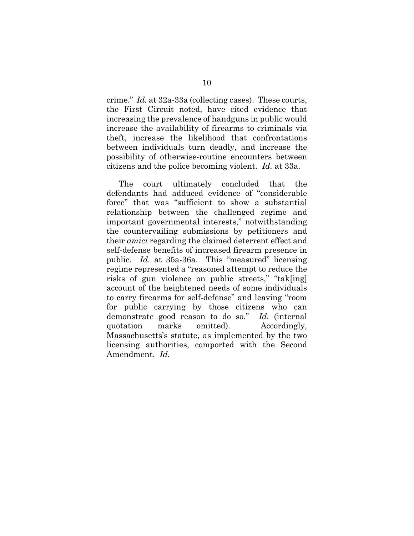crime." *Id.* at 32a-33a (collecting cases). These courts, the First Circuit noted, have cited evidence that increasing the prevalence of handguns in public would increase the availability of firearms to criminals via theft, increase the likelihood that confrontations between individuals turn deadly, and increase the possibility of otherwise-routine encounters between citizens and the police becoming violent. *Id.* at 33a.

The court ultimately concluded that the defendants had adduced evidence of "considerable force" that was "sufficient to show a substantial relationship between the challenged regime and important governmental interests," notwithstanding the countervailing submissions by petitioners and their *amici* regarding the claimed deterrent effect and self-defense benefits of increased firearm presence in public. *Id.* at 35a-36a. This "measured" licensing regime represented a "reasoned attempt to reduce the risks of gun violence on public streets," "tak[ing] account of the heightened needs of some individuals to carry firearms for self-defense" and leaving "room for public carrying by those citizens who can demonstrate good reason to do so." *Id.* (internal quotation marks omitted). Accordingly, Massachusetts's statute, as implemented by the two licensing authorities, comported with the Second Amendment. *Id.*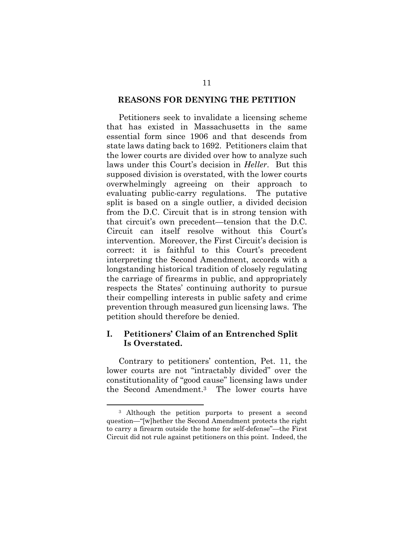#### **REASONS FOR DENYING THE PETITION**

Petitioners seek to invalidate a licensing scheme that has existed in Massachusetts in the same essential form since 1906 and that descends from state laws dating back to 1692. Petitioners claim that the lower courts are divided over how to analyze such laws under this Court's decision in *Heller*. But this supposed division is overstated, with the lower courts overwhelmingly agreeing on their approach to evaluating public-carry regulations. The putative split is based on a single outlier, a divided decision from the D.C. Circuit that is in strong tension with that circuit's own precedent—tension that the D.C. Circuit can itself resolve without this Court's intervention. Moreover, the First Circuit's decision is correct: it is faithful to this Court's precedent interpreting the Second Amendment, accords with a longstanding historical tradition of closely regulating the carriage of firearms in public, and appropriately respects the States' continuing authority to pursue their compelling interests in public safety and crime prevention through measured gun licensing laws. The petition should therefore be denied.

### **I. Petitioners' Claim of an Entrenched Split Is Overstated.**

Contrary to petitioners' contention, Pet. 11, the lower courts are not "intractably divided" over the constitutionality of "good cause" licensing laws under the Second Amendment.3 The lower courts have

 <sup>3</sup> Although the petition purports to present a second question—"[w]hether the Second Amendment protects the right to carry a firearm outside the home for self-defense"—the First Circuit did not rule against petitioners on this point. Indeed, the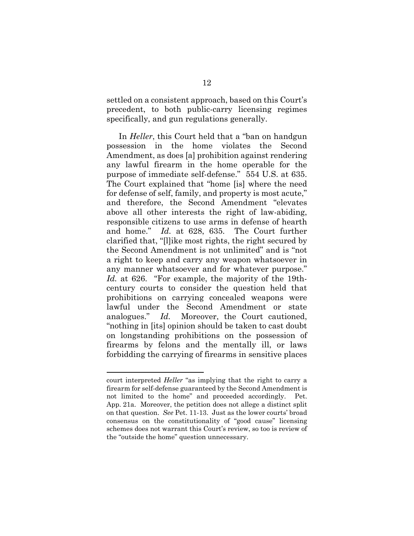settled on a consistent approach, based on this Court's precedent, to both public-carry licensing regimes specifically, and gun regulations generally.

In *Heller*, this Court held that a "ban on handgun possession in the home violates the Second Amendment, as does [a] prohibition against rendering any lawful firearm in the home operable for the purpose of immediate self-defense." 554 U.S. at 635. The Court explained that "home [is] where the need for defense of self, family, and property is most acute," and therefore, the Second Amendment "elevates above all other interests the right of law-abiding, responsible citizens to use arms in defense of hearth and home." *Id.* at 628, 635. The Court further clarified that, "[l]ike most rights, the right secured by the Second Amendment is not unlimited" and is "not a right to keep and carry any weapon whatsoever in any manner whatsoever and for whatever purpose." *Id.* at 626. "For example, the majority of the 19thcentury courts to consider the question held that prohibitions on carrying concealed weapons were lawful under the Second Amendment or state analogues." *Id.* Moreover, the Court cautioned, "nothing in [its] opinion should be taken to cast doubt on longstanding prohibitions on the possession of firearms by felons and the mentally ill, or laws forbidding the carrying of firearms in sensitive places

l

court interpreted *Heller* "as implying that the right to carry a firearm for self-defense guaranteed by the Second Amendment is not limited to the home" and proceeded accordingly. Pet. App. 21a. Moreover, the petition does not allege a distinct split on that question. *See* Pet. 11-13. Just as the lower courts' broad consensus on the constitutionality of "good cause" licensing schemes does not warrant this Court's review, so too is review of the "outside the home" question unnecessary.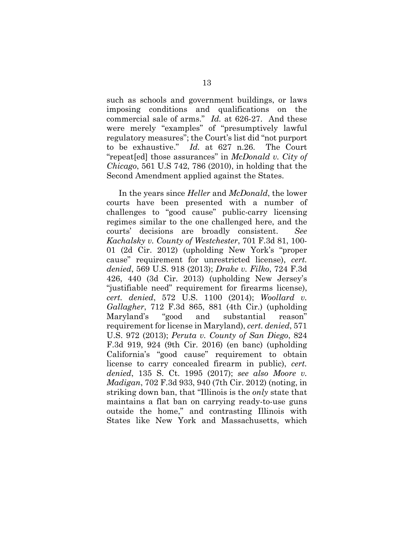such as schools and government buildings, or laws imposing conditions and qualifications on the commercial sale of arms." *Id.* at 626-27. And these were merely "examples" of "presumptively lawful regulatory measures"; the Court's list did "not purport to be exhaustive." *Id.* at 627 n.26. The Court "repeat[ed] those assurances" in *McDonald v. City of Chicago*, 561 U.S 742, 786 (2010), in holding that the Second Amendment applied against the States.

In the years since *Heller* and *McDonald*, the lower courts have been presented with a number of challenges to "good cause" public-carry licensing regimes similar to the one challenged here, and the courts' decisions are broadly consistent. *See Kachalsky v. County of Westchester*, 701 F.3d 81, 100- 01 (2d Cir. 2012) (upholding New York's "proper cause" requirement for unrestricted license), *cert. denied*, 569 U.S. 918 (2013); *Drake v. Filko*, 724 F.3d 426, 440 (3d Cir. 2013) (upholding New Jersey's "justifiable need" requirement for firearms license), *cert. denied*, 572 U.S. 1100 (2014); *Woollard v. Gallagher*, 712 F.3d 865, 881 (4th Cir.) (upholding Maryland's "good and substantial reason" requirement for license in Maryland), *cert. denied*, 571 U.S. 972 (2013); *Peruta v. County of San Diego*, 824 F.3d 919, 924 (9th Cir. 2016) (en banc) (upholding California's "good cause" requirement to obtain license to carry concealed firearm in public), *cert. denied*, 135 S. Ct. 1995 (2017); *see also Moore v. Madigan*, 702 F.3d 933, 940 (7th Cir. 2012) (noting, in striking down ban, that "Illinois is the *only* state that maintains a flat ban on carrying ready-to-use guns outside the home," and contrasting Illinois with States like New York and Massachusetts, which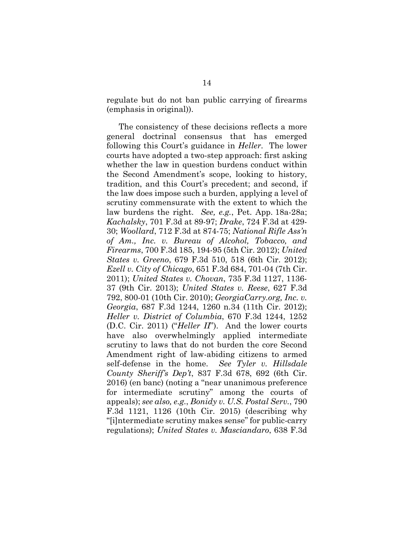regulate but do not ban public carrying of firearms (emphasis in original)).

The consistency of these decisions reflects a more general doctrinal consensus that has emerged following this Court's guidance in *Heller*. The lower courts have adopted a two-step approach: first asking whether the law in question burdens conduct within the Second Amendment's scope, looking to history, tradition, and this Court's precedent; and second, if the law does impose such a burden, applying a level of scrutiny commensurate with the extent to which the law burdens the right. *See, e.g.*, Pet. App. 18a-28a; *Kachalsky*, 701 F.3d at 89-97; *Drake*, 724 F.3d at 429- 30; *Woollard*, 712 F.3d at 874-75; *National Rifle Ass'n of Am., Inc. v. Bureau of Alcohol, Tobacco, and Firearms*, 700 F.3d 185, 194-95 (5th Cir. 2012); *United States v. Greeno*, 679 F.3d 510, 518 (6th Cir. 2012); *Ezell v. City of Chicago*, 651 F.3d 684, 701-04 (7th Cir. 2011); *United States v. Chovan*, 735 F.3d 1127, 1136- 37 (9th Cir. 2013); *United States v. Reese*, 627 F.3d 792, 800-01 (10th Cir. 2010); *GeorgiaCarry.org, Inc. v. Georgia*, 687 F.3d 1244, 1260 n.34 (11th Cir. 2012); *Heller v. District of Columbia*, 670 F.3d 1244, 1252 (D.C. Cir. 2011) ("*Heller II*"). And the lower courts have also overwhelmingly applied intermediate scrutiny to laws that do not burden the core Second Amendment right of law-abiding citizens to armed self-defense in the home. *See Tyler v. Hillsdale County Sheriff's Dep't*, 837 F.3d 678, 692 (6th Cir. 2016) (en banc) (noting a "near unanimous preference for intermediate scrutiny" among the courts of appeals); *see also, e.g.*, *Bonidy v. U.S. Postal Serv.*, 790 F.3d 1121, 1126 (10th Cir. 2015) (describing why "[i]ntermediate scrutiny makes sense" for public-carry regulations); *United States v. Masciandaro*, 638 F.3d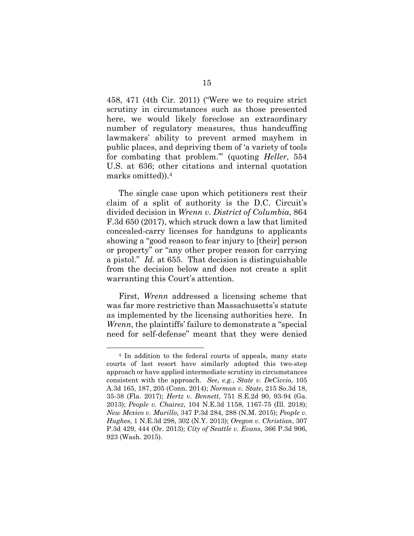458, 471 (4th Cir. 2011) ("Were we to require strict scrutiny in circumstances such as those presented here, we would likely foreclose an extraordinary number of regulatory measures, thus handcuffing lawmakers' ability to prevent armed mayhem in public places, and depriving them of 'a variety of tools for combating that problem.'" (quoting *Heller*, 554 U.S. at 636; other citations and internal quotation marks omitted)).4

The single case upon which petitioners rest their claim of a split of authority is the D.C. Circuit's divided decision in *Wrenn v. District of Columbia*, 864 F.3d 650 (2017), which struck down a law that limited concealed-carry licenses for handguns to applicants showing a "good reason to fear injury to [their] person or property" or "any other proper reason for carrying a pistol." *Id.* at 655. That decision is distinguishable from the decision below and does not create a split warranting this Court's attention.

First, *Wrenn* addressed a licensing scheme that was far more restrictive than Massachusetts's statute as implemented by the licensing authorities here. In *Wrenn*, the plaintiffs' failure to demonstrate a "special need for self-defense" meant that they were denied

 <sup>4</sup> In addition to the federal courts of appeals, many state courts of last resort have similarly adopted this two-step approach or have applied intermediate scrutiny in circumstances consistent with the approach. *See, e.g.*, *State v. DeCiccio*, 105 A.3d 165, 187, 205 (Conn. 2014); *Norman v. State*, 215 So.3d 18, 35-38 (Fla. 2017); *Hertz v. Bennett*, 751 S.E.2d 90, 93-94 (Ga. 2013); *People v. Chairez*, 104 N.E.3d 1158, 1167-75 (Ill. 2018); *New Mexico v. Murillo*, 347 P.3d 284, 288 (N.M. 2015); *People v. Hughes*, 1 N.E.3d 298, 302 (N.Y. 2013); *Oregon v. Christian*, 307 P.3d 429, 444 (Or. 2013); *City of Seattle v. Evans*, 366 P.3d 906, 923 (Wash. 2015).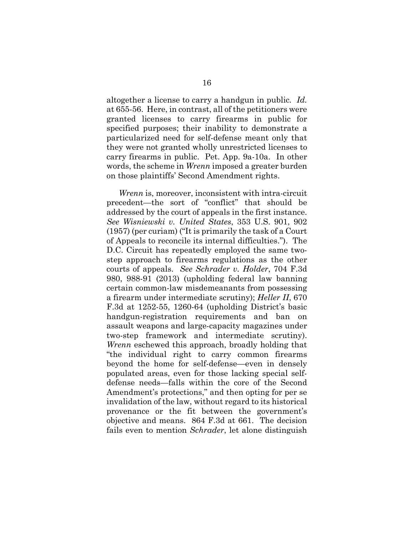altogether a license to carry a handgun in public*. Id.* at 655-56. Here, in contrast, all of the petitioners were granted licenses to carry firearms in public for specified purposes; their inability to demonstrate a particularized need for self-defense meant only that they were not granted wholly unrestricted licenses to carry firearms in public. Pet. App. 9a-10a. In other words, the scheme in *Wrenn* imposed a greater burden on those plaintiffs' Second Amendment rights.

*Wrenn* is, moreover, inconsistent with intra-circuit precedent—the sort of "conflict" that should be addressed by the court of appeals in the first instance. *See Wisniewski v. United States*, 353 U.S. 901, 902 (1957) (per curiam) ("It is primarily the task of a Court of Appeals to reconcile its internal difficulties."). The D.C. Circuit has repeatedly employed the same twostep approach to firearms regulations as the other courts of appeals. *See Schrader v. Holder*, 704 F.3d 980, 988-91 (2013) (upholding federal law banning certain common-law misdemeanants from possessing a firearm under intermediate scrutiny); *Heller II*, 670 F.3d at 1252-55, 1260-64 (upholding District's basic handgun-registration requirements and ban on assault weapons and large-capacity magazines under two-step framework and intermediate scrutiny). *Wrenn* eschewed this approach, broadly holding that "the individual right to carry common firearms beyond the home for self-defense—even in densely populated areas, even for those lacking special selfdefense needs—falls within the core of the Second Amendment's protections," and then opting for per se invalidation of the law, without regard to its historical provenance or the fit between the government's objective and means. 864 F.3d at 661. The decision fails even to mention *Schrader*, let alone distinguish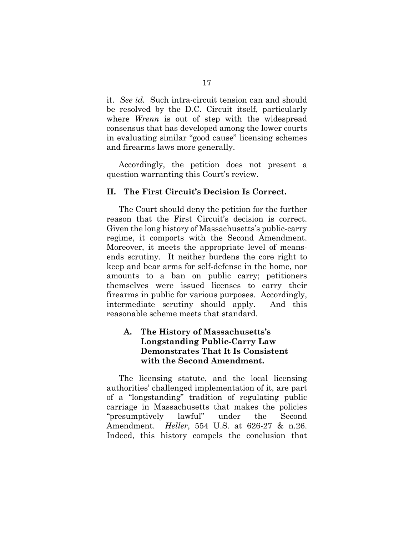it. *See id.* Such intra-circuit tension can and should be resolved by the D.C. Circuit itself, particularly where *Wrenn* is out of step with the widespread consensus that has developed among the lower courts in evaluating similar "good cause" licensing schemes and firearms laws more generally.

Accordingly, the petition does not present a question warranting this Court's review.

#### **II. The First Circuit's Decision Is Correct.**

The Court should deny the petition for the further reason that the First Circuit's decision is correct. Given the long history of Massachusetts's public-carry regime, it comports with the Second Amendment. Moreover, it meets the appropriate level of meansends scrutiny. It neither burdens the core right to keep and bear arms for self-defense in the home, nor amounts to a ban on public carry; petitioners themselves were issued licenses to carry their firearms in public for various purposes. Accordingly, intermediate scrutiny should apply. And this reasonable scheme meets that standard.

### **A. The History of Massachusetts's Longstanding Public-Carry Law Demonstrates That It Is Consistent with the Second Amendment.**

The licensing statute, and the local licensing authorities' challenged implementation of it, are part of a "longstanding" tradition of regulating public carriage in Massachusetts that makes the policies "presumptively lawful" under the Second Amendment. *Heller*, 554 U.S. at 626-27 & n.26. Indeed, this history compels the conclusion that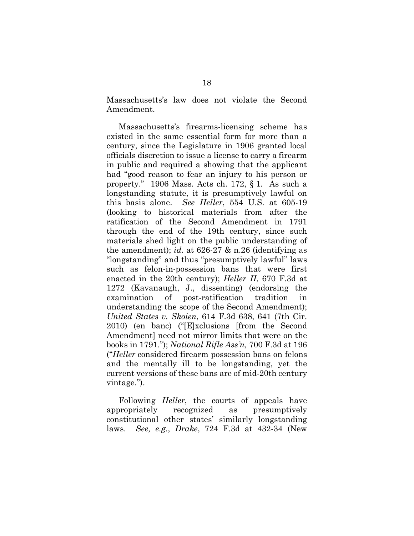Massachusetts's law does not violate the Second Amendment.

Massachusetts's firearms-licensing scheme has existed in the same essential form for more than a century, since the Legislature in 1906 granted local officials discretion to issue a license to carry a firearm in public and required a showing that the applicant had "good reason to fear an injury to his person or property." 1906 Mass. Acts ch. 172, § 1. As such a longstanding statute, it is presumptively lawful on this basis alone. *See Heller*, 554 U.S. at 605-19 (looking to historical materials from after the ratification of the Second Amendment in 1791 through the end of the 19th century, since such materials shed light on the public understanding of the amendment); *id.* at 626-27 & n.26 (identifying as "longstanding" and thus "presumptively lawful" laws such as felon-in-possession bans that were first enacted in the 20th century); *Heller II*, 670 F.3d at 1272 (Kavanaugh, J., dissenting) (endorsing the examination of post-ratification tradition in understanding the scope of the Second Amendment); *United States v. Skoien*, 614 F.3d 638, 641 (7th Cir. 2010) (en banc) ("[E]xclusions [from the Second Amendment] need not mirror limits that were on the books in 1791."); *National Rifle Ass'n,* 700 F.3d at 196 ("*Heller* considered firearm possession bans on felons and the mentally ill to be longstanding, yet the current versions of these bans are of mid-20th century vintage.").

Following *Heller*, the courts of appeals have appropriately recognized as presumptively constitutional other states' similarly longstanding laws. *See, e.g.*, *Drake*, 724 F.3d at 432-34 (New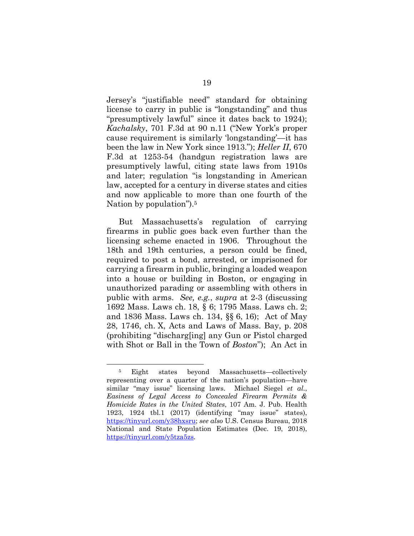Jersey's "justifiable need" standard for obtaining license to carry in public is "longstanding" and thus "presumptively lawful" since it dates back to 1924); *Kachalsky*, 701 F.3d at 90 n.11 ("New York's proper cause requirement is similarly 'longstanding'—it has been the law in New York since 1913."); *Heller II*, 670 F.3d at 1253-54 (handgun registration laws are presumptively lawful, citing state laws from 1910s and later; regulation "is longstanding in American law, accepted for a century in diverse states and cities and now applicable to more than one fourth of the Nation by population").5

But Massachusetts's regulation of carrying firearms in public goes back even further than the licensing scheme enacted in 1906. Throughout the 18th and 19th centuries, a person could be fined, required to post a bond, arrested, or imprisoned for carrying a firearm in public, bringing a loaded weapon into a house or building in Boston, or engaging in unauthorized parading or assembling with others in public with arms. *See, e.g.*, *supra* at 2-3 (discussing 1692 Mass. Laws ch. 18, § 6; 1795 Mass. Laws ch. 2; and 1836 Mass. Laws ch. 134, §§ 6, 16); Act of May 28, 1746, ch. X, Acts and Laws of Mass. Bay, p. 208 (prohibiting "discharg[ing] any Gun or Pistol charged with Shot or Ball in the Town of *Boston*"); An Act in

 <sup>5</sup> Eight states beyond Massachusetts—collectively representing over a quarter of the nation's population—have similar "may issue" licensing laws. Michael Siegel *et al.*, *Easiness of Legal Access to Concealed Firearm Permits & Homicide Rates in the United States*, 107 Am. J. Pub. Health 1923, 1924 tbl.1 (2017) (identifying "may issue" states), https://tinyurl.com/y38hxsru; *see also* U.S. Census Bureau, 2018 National and State Population Estimates (Dec. 19, 2018), https://tinyurl.com/y5tza5zs.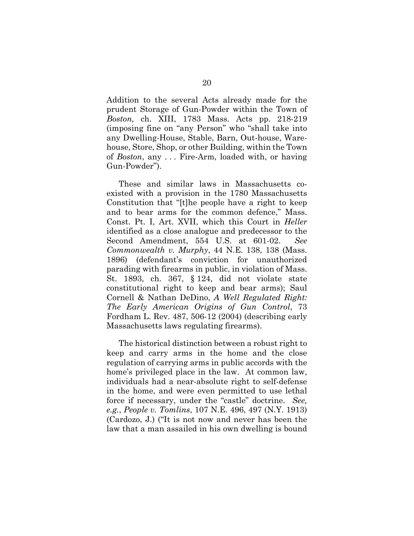Addition to the several Acts already made for the prudent Storage of Gun-Powder within the Town of *Boston,* ch. XIII, 1783 Mass. Acts pp. 218-219 (imposing fine on "any Person" who "shall take into any Dwelling-House, Stable, Barn, Out-house, Warehouse, Store, Shop, or other Building, within the Town of *Boston*, any . . . Fire-Arm, loaded with, or having Gun-Powder").

These and similar laws in Massachusetts coexisted with a provision in the 1780 Massachusetts Constitution that "[t]he people have a right to keep and to bear arms for the common defence," Mass. Const. Pt. I, Art. XVII, which this Court in *Heller* identified as a close analogue and predecessor to the Second Amendment, 554 U.S. at 601-02. *See Commonwealth v. Murphy*, 44 N.E. 138, 138 (Mass. 1896) (defendant's conviction for unauthorized parading with firearms in public, in violation of Mass. St. 1893, ch. 367, § 124, did not violate state constitutional right to keep and bear arms); Saul Cornell & Nathan DeDino, *A Well Regulated Right: The Early American Origins of Gun Control*, 73 Fordham L. Rev. 487, 506-12 (2004) (describing early Massachusetts laws regulating firearms).

The historical distinction between a robust right to keep and carry arms in the home and the close regulation of carrying arms in public accords with the home's privileged place in the law. At common law, individuals had a near-absolute right to self-defense in the home, and were even permitted to use lethal force if necessary, under the "castle" doctrine. *See, e.g.*, *People v. Tomlins*, 107 N.E. 496, 497 (N.Y. 1913) (Cardozo, J.) ("It is not now and never has been the law that a man assailed in his own dwelling is bound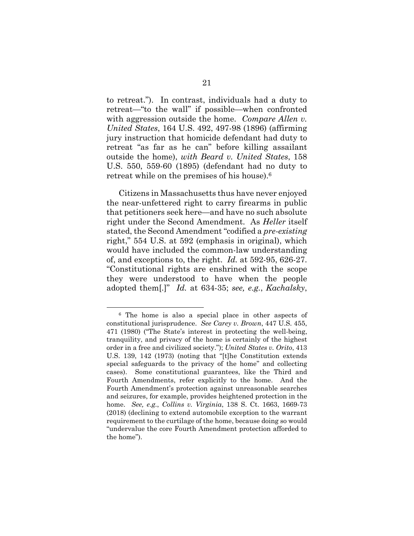to retreat."). In contrast, individuals had a duty to retreat—"to the wall" if possible—when confronted with aggression outside the home. *Compare Allen v. United States*, 164 U.S. 492, 497-98 (1896) (affirming jury instruction that homicide defendant had duty to retreat "as far as he can" before killing assailant outside the home), *with Beard v. United States*, 158 U.S. 550, 559-60 (1895) (defendant had no duty to retreat while on the premises of his house).6

Citizens in Massachusetts thus have never enjoyed the near-unfettered right to carry firearms in public that petitioners seek here—and have no such absolute right under the Second Amendment. As *Heller* itself stated, the Second Amendment "codified a *pre-existing* right," 554 U.S. at 592 (emphasis in original), which would have included the common-law understanding of, and exceptions to, the right. *Id.* at 592-95, 626-27. "Constitutional rights are enshrined with the scope they were understood to have when the people adopted them[.]" *Id.* at 634-35; *see, e.g.*, *Kachalsky*,

 <sup>6</sup> The home is also a special place in other aspects of constitutional jurisprudence. *See Carey v. Brown*, 447 U.S. 455, 471 (1980) ("The State's interest in protecting the well-being, tranquility, and privacy of the home is certainly of the highest order in a free and civilized society."); *United States v. Orito*, 413 U.S. 139, 142 (1973) (noting that "[t]he Constitution extends special safeguards to the privacy of the home" and collecting cases). Some constitutional guarantees, like the Third and Fourth Amendments, refer explicitly to the home. And the Fourth Amendment's protection against unreasonable searches and seizures, for example, provides heightened protection in the home. *See, e.g.*, *Collins v. Virginia*, 138 S. Ct. 1663, 1669-73 (2018) (declining to extend automobile exception to the warrant requirement to the curtilage of the home, because doing so would "undervalue the core Fourth Amendment protection afforded to the home").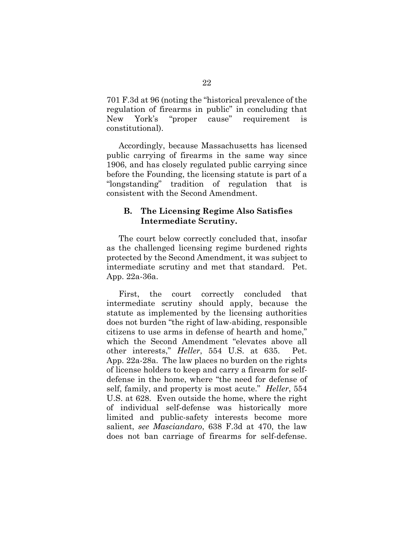701 F.3d at 96 (noting the "historical prevalence of the regulation of firearms in public" in concluding that New York's "proper cause" requirement is constitutional).

Accordingly, because Massachusetts has licensed public carrying of firearms in the same way since 1906, and has closely regulated public carrying since before the Founding, the licensing statute is part of a "longstanding" tradition of regulation that is consistent with the Second Amendment.

### **B. The Licensing Regime Also Satisfies Intermediate Scrutiny.**

The court below correctly concluded that, insofar as the challenged licensing regime burdened rights protected by the Second Amendment, it was subject to intermediate scrutiny and met that standard. Pet. App. 22a-36a.

First, the court correctly concluded that intermediate scrutiny should apply, because the statute as implemented by the licensing authorities does not burden "the right of law-abiding, responsible citizens to use arms in defense of hearth and home," which the Second Amendment "elevates above all other interests," *Heller*, 554 U.S. at 635. Pet. App. 22a-28a. The law places no burden on the rights of license holders to keep and carry a firearm for selfdefense in the home, where "the need for defense of self, family, and property is most acute." *Heller*, 554 U.S. at 628. Even outside the home, where the right of individual self-defense was historically more limited and public-safety interests become more salient, *see Masciandaro*, 638 F.3d at 470, the law does not ban carriage of firearms for self-defense.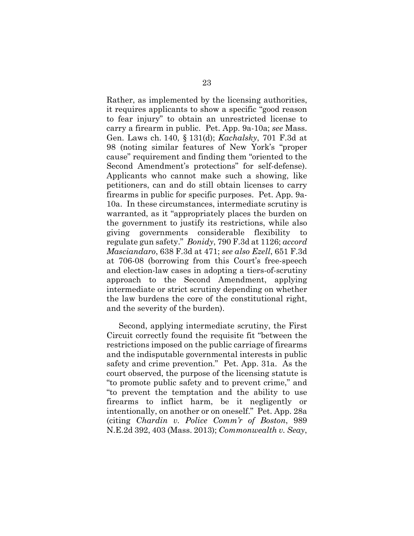Rather, as implemented by the licensing authorities, it requires applicants to show a specific "good reason to fear injury" to obtain an unrestricted license to carry a firearm in public. Pet. App. 9a-10a; *see* Mass. Gen. Laws ch. 140, § 131(d); *Kachalsky*, 701 F.3d at 98 (noting similar features of New York's "proper cause" requirement and finding them "oriented to the Second Amendment's protections" for self-defense). Applicants who cannot make such a showing, like petitioners, can and do still obtain licenses to carry firearms in public for specific purposes. Pet. App. 9a-10a. In these circumstances, intermediate scrutiny is warranted, as it "appropriately places the burden on the government to justify its restrictions, while also giving governments considerable flexibility to regulate gun safety." *Bonidy*, 790 F.3d at 1126; *accord Masciandaro*, 638 F.3d at 471; *see also Ezell*, 651 F.3d at 706-08 (borrowing from this Court's free-speech and election-law cases in adopting a tiers-of-scrutiny approach to the Second Amendment, applying intermediate or strict scrutiny depending on whether the law burdens the core of the constitutional right, and the severity of the burden).

Second, applying intermediate scrutiny, the First Circuit correctly found the requisite fit "between the restrictions imposed on the public carriage of firearms and the indisputable governmental interests in public safety and crime prevention." Pet. App. 31a. As the court observed, the purpose of the licensing statute is "to promote public safety and to prevent crime," and "to prevent the temptation and the ability to use firearms to inflict harm, be it negligently or intentionally, on another or on oneself." Pet. App. 28a (citing *Chardin v. Police Comm'r of Boston*, 989 N.E.2d 392, 403 (Mass. 2013); *Commonwealth v. Seay*,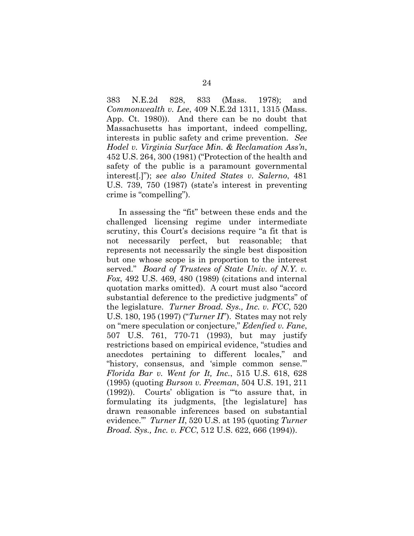383 N.E.2d 828, 833 (Mass. 1978); and *Commonwealth v. Lee*, 409 N.E.2d 1311, 1315 (Mass. App. Ct. 1980)). And there can be no doubt that Massachusetts has important, indeed compelling, interests in public safety and crime prevention. *See Hodel v. Virginia Surface Min. & Reclamation Ass'n*, 452 U.S. 264, 300 (1981) ("Protection of the health and safety of the public is a paramount governmental interest[.]"); *see also United States v. Salerno*, 481 U.S. 739, 750 (1987) (state's interest in preventing crime is "compelling").

In assessing the "fit" between these ends and the challenged licensing regime under intermediate scrutiny, this Court's decisions require "a fit that is not necessarily perfect, but reasonable; that represents not necessarily the single best disposition but one whose scope is in proportion to the interest served." *Board of Trustees of State Univ. of N.Y. v. Fox*, 492 U.S. 469, 480 (1989) (citations and internal quotation marks omitted). A court must also "accord substantial deference to the predictive judgments" of the legislature. *Turner Broad. Sys., Inc. v. FCC*, 520 U.S. 180, 195 (1997) ("*Turner II*"). States may not rely on "mere speculation or conjecture," *Edenfied v. Fane*, 507 U.S. 761, 770-71 (1993), but may justify restrictions based on empirical evidence, "studies and anecdotes pertaining to different locales," and "history, consensus, and 'simple common sense.'" *Florida Bar v. Went for It, Inc.*, 515 U.S. 618, 628 (1995) (quoting *Burson v. Freeman*, 504 U.S. 191, 211 (1992)). Courts' obligation is "'to assure that, in formulating its judgments, [the legislature] has drawn reasonable inferences based on substantial evidence.'" *Turner II*, 520 U.S. at 195 (quoting *Turner Broad. Sys., Inc. v. FCC*, 512 U.S. 622, 666 (1994)).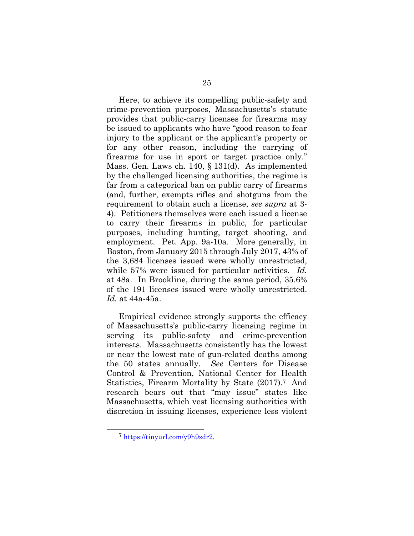Here, to achieve its compelling public-safety and crime-prevention purposes, Massachusetts's statute provides that public-carry licenses for firearms may be issued to applicants who have "good reason to fear injury to the applicant or the applicant's property or for any other reason, including the carrying of firearms for use in sport or target practice only." Mass. Gen. Laws ch. 140, § 131(d). As implemented by the challenged licensing authorities, the regime is far from a categorical ban on public carry of firearms (and, further, exempts rifles and shotguns from the requirement to obtain such a license, *see supra* at 3- 4). Petitioners themselves were each issued a license to carry their firearms in public, for particular purposes, including hunting, target shooting, and employment. Pet. App. 9a-10a. More generally, in Boston, from January 2015 through July 2017, 43% of the 3,684 licenses issued were wholly unrestricted, while 57% were issued for particular activities. *Id.* at 48a. In Brookline, during the same period, 35.6% of the 191 licenses issued were wholly unrestricted. *Id.* at 44a-45a.

Empirical evidence strongly supports the efficacy of Massachusetts's public-carry licensing regime in serving its public-safety and crime-prevention interests. Massachusetts consistently has the lowest or near the lowest rate of gun-related deaths among the 50 states annually. *See* Centers for Disease Control & Prevention, National Center for Health Statistics, Firearm Mortality by State (2017).7 And research bears out that "may issue" states like Massachusetts, which vest licensing authorities with discretion in issuing licenses, experience less violent

 <sup>7</sup> https://tinyurl.com/y9h9zdr2.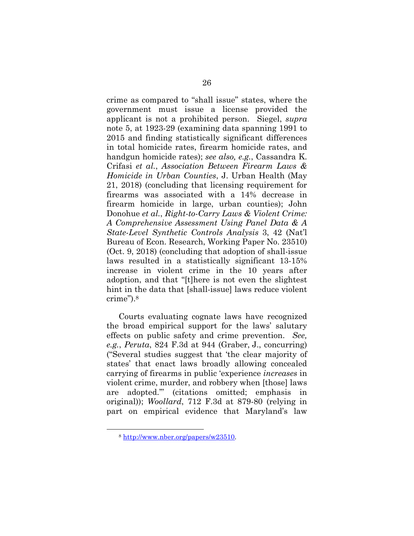crime as compared to "shall issue" states, where the government must issue a license provided the applicant is not a prohibited person. Siegel, *supra* note 5, at 1923-29 (examining data spanning 1991 to 2015 and finding statistically significant differences in total homicide rates, firearm homicide rates, and handgun homicide rates); *see also, e.g.*, Cassandra K. Crifasi *et al.*, *Association Between Firearm Laws & Homicide in Urban Counties*, J. Urban Health (May 21, 2018) (concluding that licensing requirement for firearms was associated with a 14% decrease in firearm homicide in large, urban counties); John Donohue *et al.*, *Right-to-Carry Laws & Violent Crime: A Comprehensive Assessment Using Panel Data & A State-Level Synthetic Controls Analysis* 3, 42 (Nat'l Bureau of Econ. Research, Working Paper No. 23510) (Oct. 9, 2018) (concluding that adoption of shall-issue laws resulted in a statistically significant 13-15% increase in violent crime in the 10 years after adoption, and that "[t]here is not even the slightest hint in the data that [shall-issue] laws reduce violent crime").8

Courts evaluating cognate laws have recognized the broad empirical support for the laws' salutary effects on public safety and crime prevention. *See, e.g.*, *Peruta*, 824 F.3d at 944 (Graber, J., concurring) ("Several studies suggest that 'the clear majority of states' that enact laws broadly allowing concealed carrying of firearms in public 'experience *increases* in violent crime, murder, and robbery when [those] laws are adopted.'" (citations omitted; emphasis in original)); *Woollard*, 712 F.3d at 879-80 (relying in part on empirical evidence that Maryland's law

 <sup>8</sup> http://www.nber.org/papers/w23510.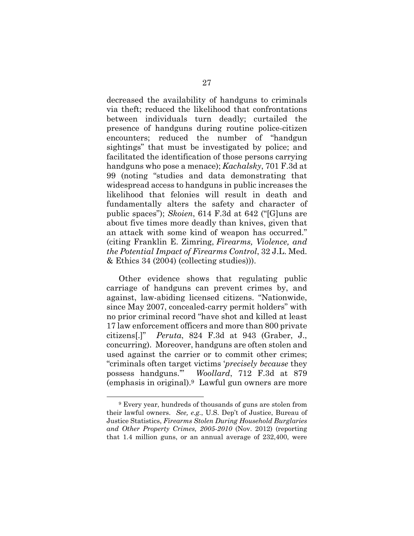decreased the availability of handguns to criminals via theft; reduced the likelihood that confrontations between individuals turn deadly; curtailed the presence of handguns during routine police-citizen encounters; reduced the number of "handgun sightings" that must be investigated by police; and facilitated the identification of those persons carrying handguns who pose a menace); *Kachalsky*, 701 F.3d at 99 (noting "studies and data demonstrating that widespread access to handguns in public increases the likelihood that felonies will result in death and fundamentally alters the safety and character of public spaces"); *Skoien*, 614 F.3d at 642 ("[G]uns are about five times more deadly than knives, given that an attack with some kind of weapon has occurred." (citing Franklin E. Zimring, *Firearms, Violence, and the Potential Impact of Firearms Control*, 32 J.L. Med. & Ethics 34 (2004) (collecting studies))).

Other evidence shows that regulating public carriage of handguns can prevent crimes by, and against, law-abiding licensed citizens. "Nationwide, since May 2007, concealed-carry permit holders" with no prior criminal record "have shot and killed at least 17 law enforcement officers and more than 800 private citizens[.]" *Peruta*, 824 F.3d at 943 (Graber, J., concurring). Moreover, handguns are often stolen and used against the carrier or to commit other crimes; "criminals often target victims '*precisely because* they possess handguns.'" *Woollard*, 712 F.3d at 879 (emphasis in original).9 Lawful gun owners are more

 <sup>9</sup> Every year, hundreds of thousands of guns are stolen from their lawful owners. *See, e.g.*, U.S. Dep't of Justice, Bureau of Justice Statistics, *Firearms Stolen During Household Burglaries and Other Property Crimes, 2005-2010* (Nov. 2012) (reporting that 1.4 million guns, or an annual average of 232,400, were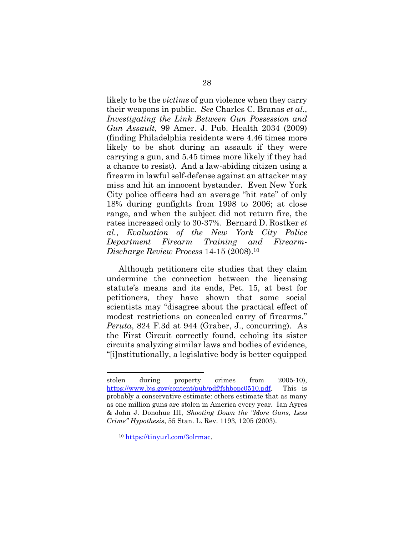likely to be the *victims* of gun violence when they carry their weapons in public. *See* Charles C. Branas *et al.*, *Investigating the Link Between Gun Possession and Gun Assault*, 99 Amer. J. Pub. Health 2034 (2009) (finding Philadelphia residents were 4.46 times more likely to be shot during an assault if they were carrying a gun, and 5.45 times more likely if they had a chance to resist). And a law-abiding citizen using a firearm in lawful self-defense against an attacker may miss and hit an innocent bystander. Even New York City police officers had an average "hit rate" of only 18% during gunfights from 1998 to 2006; at close range, and when the subject did not return fire, the rates increased only to 30-37%. Bernard D. Rostker *et al.*, *Evaluation of the New York City Police Department Firearm Training and Firearm-Discharge Review Process* 14-15 (2008).10

Although petitioners cite studies that they claim undermine the connection between the licensing statute's means and its ends, Pet. 15, at best for petitioners, they have shown that some social scientists may "disagree about the practical effect of modest restrictions on concealed carry of firearms." *Peruta*, 824 F.3d at 944 (Graber, J., concurring). As the First Circuit correctly found, echoing its sister circuits analyzing similar laws and bodies of evidence, "[i]nstitutionally, a legislative body is better equipped

l

stolen during property crimes from 2005-10), https://www.bjs.gov/content/pub/pdf/fshbopc0510.pdf. This is probably a conservative estimate: others estimate that as many as one million guns are stolen in America every year. Ian Ayres & John J. Donohue III, *Shooting Down the "More Guns, Less Crime" Hypothesis*, 55 Stan. L. Rev. 1193, 1205 (2003).

<sup>10</sup> https://tinyurl.com/3olrmac.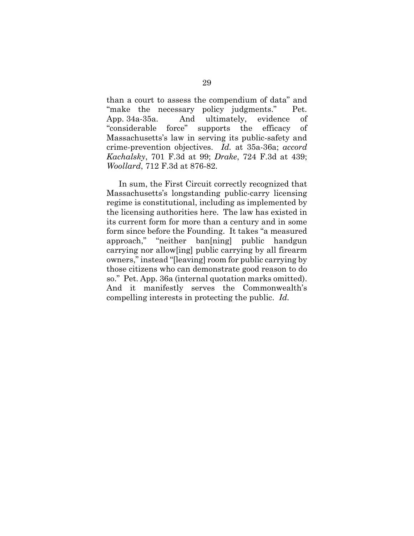than a court to assess the compendium of data" and "make the necessary policy judgments." Pet. App. 34a-35a. And ultimately, evidence of "considerable force" supports the efficacy of Massachusetts's law in serving its public-safety and crime-prevention objectives. *Id.* at 35a-36a; *accord Kachalsky*, 701 F.3d at 99; *Drake*, 724 F.3d at 439; *Woollard*, 712 F.3d at 876-82.

In sum, the First Circuit correctly recognized that Massachusetts's longstanding public-carry licensing regime is constitutional, including as implemented by the licensing authorities here. The law has existed in its current form for more than a century and in some form since before the Founding. It takes "a measured approach," "neither ban[ning] public handgun carrying nor allow[ing] public carrying by all firearm owners," instead "[leaving] room for public carrying by those citizens who can demonstrate good reason to do so." Pet. App. 36a (internal quotation marks omitted). And it manifestly serves the Commonwealth's compelling interests in protecting the public. *Id.*